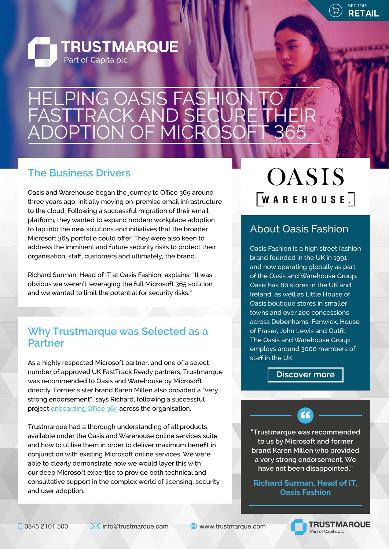

**STATISTICS** 



### HELPING OASIS FASHION TO FASTTRACK AND SECURE THEIR ADOPTION OF MICROSOFT 365

#### **The Business Drivers**

Oasis and Warehouse began the journey to Office 365 around three years ago, initially moving on-premise email infrastructure to the cloud. Following a successful migration of their email platform, they wanted to expand modern workplace adoption to tap into the new solutions and initiatives that the broader Microsoft 365 portfolio could offer. They were also keen to address the imminent and future security risks to protect their organisation, staff, customers and ultimately, the brand.

Richard Surman, Head of IT at Oasis Fashion, explains: "It was obvious we weren't leveraging the full Microsoft 365 solution and we wanted to limit the potential for security risks."

#### **Why Trustmarque was Selected as a Partner**

As a highly respected Microsoft partner, and one of a select number of approved UK FastTrack Ready partners, Trustmarque was recommended to Oasis and Warehouse by Microsoft directly. Former sister brand Karen Millen also provided a "very strong endorsement", says Richard, following a successful project [onboarding Office 365](https://www.trustmarque.com/resources/office-365-drives-productivity-at-karen-millen/) across the organisation.

Trustmarque had a thorough understanding of all products available under the Oasis and Warehouse online services suite and how to utilise them in order to deliver maximum benefit in conjunction with existing Microsoft online services. We were able to clearly demonstrate how we would layer this with our deep Microsoft expertise to provide both technical and consultative support in the complex world of licensing, security and user adoption.

## **OASIS**  $\sqrt{\text{W} \times \text{R} + \text{H} \times \text{A}}$

#### About Oasis Fashion

Oasis Fashion is a high street fashion brand founded in the UK in 1991 and now operating globally as part of the Oasis and Warehouse Group. Oasis has 80 stores in the UK and Ireland, as well as Little House of Oasis boutique stores in smaller towns and over 200 concessions across Debenhams, Fenwick, House of Fraser, John Lewis and Outfit. The Oasis and Warehouse Group employs around 3000 members of staff in the UK.

**[Discover more](https://www.oasis-stores.com/gb/about-oasis/about-us.html)**

**"Trustmarque was recommended to us by Microsoft and former brand Karen Millen who provided a very strong endorsement. We have not been disappointed."**

**"** 

**Richard Surman, Head of IT, Oasis Fashion**

0845 2101 500 Minfo@trustmarque.com Www.trustmarque.com

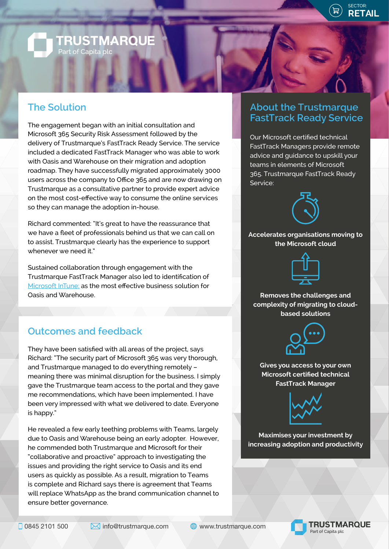

# **TRUSTMARQUE**<br>Part of Capita plc

#### **The Solution**

The engagement began with an initial consultation and Microsoft 365 Security Risk Assessment followed by the delivery of Trustmarque's FastTrack Ready Service. The service included a dedicated FastTrack Manager who was able to work with Oasis and Warehouse on their migration and adoption roadmap. They have successfully migrated approximately 3000 users across the company to Office 365 and are now drawing on Trustmarque as a consultative partner to provide expert advice on the most cost-effective way to consume the online services so they can manage the adoption in-house.

Richard commented: "It's great to have the reassurance that we have a fleet of professionals behind us that we can call on to assist. Trustmarque clearly has the experience to support whenever we need it."

Sustained collaboration through engagement with the Trustmarque FastTrack Manager also led to identification of [Microsoft InTune](https://www.microsoft.com/en-us/microsoft-365/enterprise-mobility-security/microsoft-intune): as the most effective business solution for Oasis and Warehouse.

#### **Outcomes and feedback**

They have been satisfied with all areas of the project, says Richard: "The security part of Microsoft 365 was very thorough, and Trustmarque managed to do everything remotely – meaning there was minimal disruption for the business. I simply gave the Trustmarque team access to the portal and they gave me recommendations, which have been implemented. I have been very impressed with what we delivered to date. Everyone is happy."

He revealed a few early teething problems with Teams, largely due to Oasis and Warehouse being an early adopter. However, he commended both Trustmarque and Microsoft for their "collaborative and proactive" approach to investigating the issues and providing the right service to Oasis and its end users as quickly as possible. As a result, migration to Teams is complete and Richard says there is agreement that Teams will replace WhatsApp as the brand communication channel to ensure better governance.

#### **About the Trustmarque FastTrack Ready Service**

Our Microsoft certified technical FastTrack Managers provide remote advice and guidance to upskill your teams in elements of Microsoft 365. Trustmarque FastTrack Ready Service:



**Accelerates organisations moving to the Microsoft cloud**



**Removes the challenges and complexity of migrating to cloudbased solutions**



**Gives you access to your own Microsoft certified technical FastTrack Manager**



**Maximises your investment by increasing adoption and productivity**